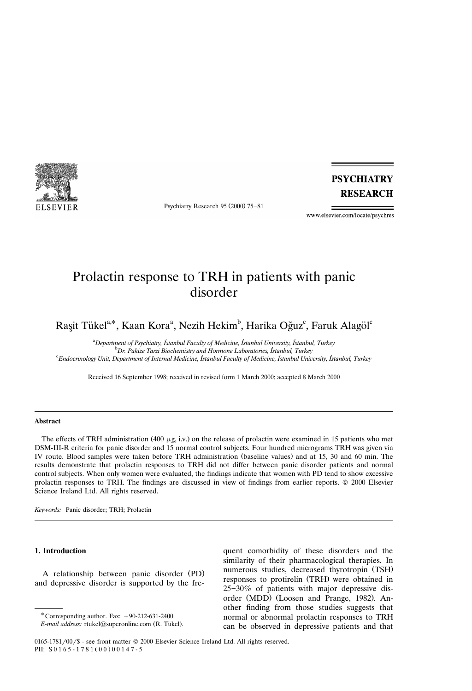

Psychiatry Research 95 (2000) 75-81

**PSYCHIATRY RESEARCH** 

www.elsevier.com/locate/psychres

# Prolactin response to TRH in patients with panic disorder

Raşit Tükel $^{\mathrm{a},\mathrm{*}}$ , Kaan Kora $^{\mathrm{a}}$ , Nezih Hekim $^{\mathrm{b}}$ , Harika Oğuz $^{\mathrm{c}}$ , Faruk Alagöl $^{\mathrm{c}}$ 

<sup>a</sup> Department of Psychiatry, Istanbul Faculty of Medicine, Istanbul University, Istanbul, Turkey<br><sup>b</sup> Dy - Paking Tarri Biochamisty and Harmone Laboratories, Istanbul Turkey <sup>b</sup>Dr. Pakize Tarzi Biochemistry and Hormone Laboratories, Istanbul, Turkey *Endocrinology Unit, Department of Internal Medicine, Istanbul Faculty of Medicine, Istanbul Uni* ˙ ˙˙ ¨*ersity, Istanbul, Turkey*

Received 16 September 1998; received in revised form 1 March 2000; accepted 8 March 2000

#### **Abstract**

The effects of TRH administration (400  $\mu$ g, i.v.) on the release of prolactin were examined in 15 patients who met DSM-III-R criteria for panic disorder and 15 normal control subjects. Four hundred micrograms TRH was given via IV route. Blood samples were taken before TRH administration (baseline values) and at 15, 30 and 60 min. The results demonstrate that prolactin responses to TRH did not differ between panic disorder patients and normal control subjects. When only women were evaluated, the findings indicate that women with PD tend to show excessive prolactin responses to TRH. The findings are discussed in view of findings from earlier reports. Q 2000 Elsevier Science Ireland Ltd. All rights reserved.

*Keywords:* Panic disorder; TRH; Prolactin

## **1. Introduction**

A relationship between panic disorder (PD) and depressive disorder is supported by the frequent comorbidity of these disorders and the similarity of their pharmacological therapies. In numerous studies, decreased thyrotropin (TSH) responses to protirelin (TRH) were obtained in  $25-30\%$  of patients with major depressive disorder (MDD) (Loosen and Prange, 1982). Another finding from those studies suggests that normal or abnormal prolactin responses to TRH can be observed in depressive patients and that

0165-1781/00/\$ - see front matter © 2000 Elsevier Science Ireland Ltd. All rights reserved. PII:  $S 0 1 6 5 - 1 7 8 1 (0 0) 0 0 1 4 7 - 5$ 

 $^*$  Corresponding author. Fax:  $+90-212-631-2400$ .

*E-mail address:* rtukel@superonline.com (R. Tükel).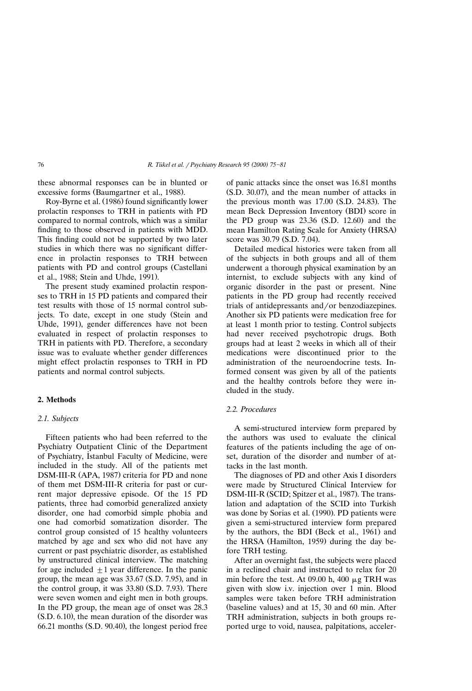these abnormal responses can be in blunted or excessive forms (Baumgartner et al., 1988).

Roy-Byrne et al. (1986) found significantly lower prolactin responses to TRH in patients with PD compared to normal controls, which was a similar finding to those observed in patients with MDD. This finding could not be supported by two later studies in which there was no significant difference in prolactin responses to TRH between patients with PD and control groups (Castellani et al., 1988; Stein and Uhde, 1991).

The present study examined prolactin responses to TRH in 15 PD patients and compared their test results with those of 15 normal control subjects. To date, except in one study (Stein and Uhde, 1991), gender differences have not been evaluated in respect of prolactin responses to TRH in patients with PD. Therefore, a secondary issue was to evaluate whether gender differences might effect prolactin responses to TRH in PD patients and normal control subjects.

## **2. Methods**

## *2.1. Subjects*

Fifteen patients who had been referred to the Psychiatry Outpatient Clinic of the Department of Psychiatry, Istanbul Faculty of Medicine, were ˙ included in the study. All of the patients met DSM-III-R (APA, 1987) criteria for PD and none of them met DSM-III-R criteria for past or current major depressive episode. Of the 15 PD patients, three had comorbid generalized anxiety disorder, one had comorbid simple phobia and one had comorbid somatization disorder. The control group consisted of 15 healthy volunteers matched by age and sex who did not have any current or past psychiatric disorder, as established by unstructured clinical interview. The matching for age included  $\pm 1$  year difference. In the panic group, the mean age was  $33.67$  (S.D. 7.95), and in the control group, it was  $33.80$  (S.D. 7.93). There were seven women and eight men in both groups. In the PD group, the mean age of onset was 28.3  $(S.D. 6.10)$ , the mean duration of the disorder was  $66.21$  months  $(S.D. 90.40)$ , the longest period free

of panic attacks since the onset was 16.81 months  $(S.D. 30.07)$ , and the mean number of attacks in the previous month was  $17.00$  (S.D. 24.83). The mean Beck Depression Inventory (BDI) score in the PD group was  $23.36$  (S.D. 12.60) and the mean Hamilton Rating Scale for Anxiety (HRSA) score was 30.79 (S.D. 7.04).

Detailed medical histories were taken from all of the subjects in both groups and all of them underwent a thorough physical examination by an internist, to exclude subjects with any kind of organic disorder in the past or present. Nine patients in the PD group had recently received trials of antidepressants and/or benzodiazepines. Another six PD patients were medication free for at least 1 month prior to testing. Control subjects had never received psychotropic drugs. Both groups had at least 2 weeks in which all of their medications were discontinued prior to the administration of the neuroendocrine tests. Informed consent was given by all of the patients and the healthy controls before they were included in the study.

## *2.2. Procedures*

A semi-structured interview form prepared by the authors was used to evaluate the clinical features of the patients including the age of onset, duration of the disorder and number of attacks in the last month.

The diagnoses of PD and other Axis I disorders were made by Structured Clinical Interview for DSM-III-R (SCID; Spitzer et al., 1987). The translation and adaptation of the SCID into Turkish was done by Sorias et al. (1990). PD patients were given a semi-structured interview form prepared by the authors, the BDI (Beck et al., 1961) and the HRSA (Hamilton, 1959) during the day before TRH testing.

After an overnight fast, the subjects were placed in a reclined chair and instructed to relax for 20 min before the test. At 09.00 h, 400  $\mu$ g TRH was given with slow i.v. injection over 1 min. Blood samples were taken before TRH administration (baseline values) and at  $15, 30$  and  $60$  min. After TRH administration, subjects in both groups reported urge to void, nausea, palpitations, acceler-